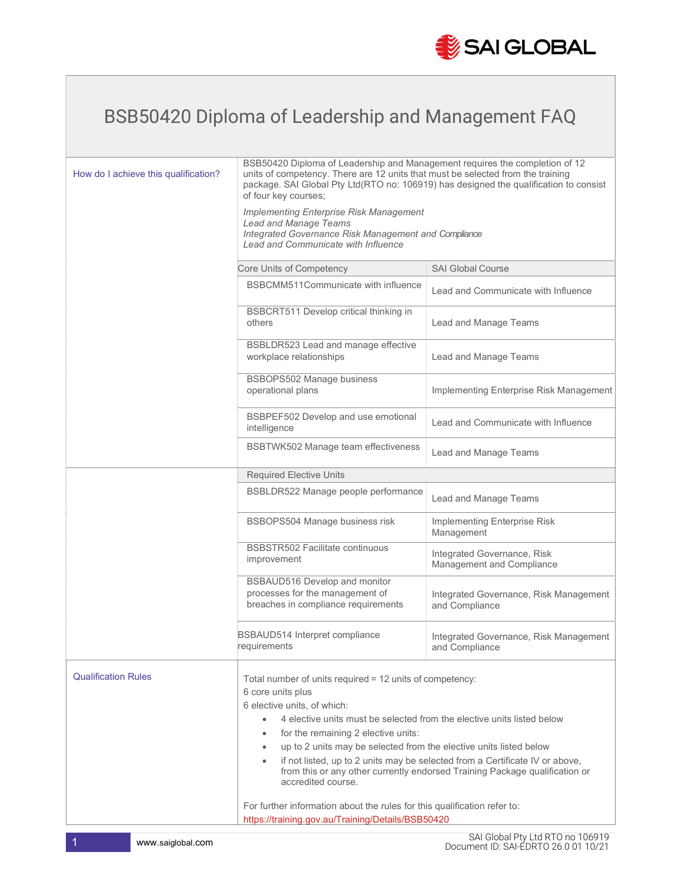

## BSB50420 Diploma of Leadership and Management FAQ

| How do I achieve this qualification? | BSB50420 Diploma of Leadership and Management requires the completion of 12<br>units of competency. There are 12 units that must be selected from the training<br>package. SAI Global Pty Ltd(RTO no: 106919) has designed the qualification to consist<br>of four key courses;<br>Implementing Enterprise Risk Management<br><b>Lead and Manage Teams</b><br>Integrated Governance Risk Management and Compliance<br>Lead and Communicate with Influence |                                                                             |
|--------------------------------------|-----------------------------------------------------------------------------------------------------------------------------------------------------------------------------------------------------------------------------------------------------------------------------------------------------------------------------------------------------------------------------------------------------------------------------------------------------------|-----------------------------------------------------------------------------|
|                                      | Core Units of Competency                                                                                                                                                                                                                                                                                                                                                                                                                                  | <b>SAI Global Course</b>                                                    |
|                                      | BSBCMM511Communicate with influence                                                                                                                                                                                                                                                                                                                                                                                                                       | Lead and Communicate with Influence                                         |
|                                      | BSBCRT511 Develop critical thinking in<br>others                                                                                                                                                                                                                                                                                                                                                                                                          | Lead and Manage Teams                                                       |
|                                      | BSBLDR523 Lead and manage effective<br>workplace relationships                                                                                                                                                                                                                                                                                                                                                                                            | Lead and Manage Teams                                                       |
|                                      | BSBOPS502 Manage business<br>operational plans                                                                                                                                                                                                                                                                                                                                                                                                            | Implementing Enterprise Risk Management                                     |
|                                      | BSBPEF502 Develop and use emotional<br>intelligence                                                                                                                                                                                                                                                                                                                                                                                                       | Lead and Communicate with Influence                                         |
|                                      | <b>BSBTWK502 Manage team effectiveness</b>                                                                                                                                                                                                                                                                                                                                                                                                                | Lead and Manage Teams                                                       |
|                                      | <b>Required Elective Units</b>                                                                                                                                                                                                                                                                                                                                                                                                                            |                                                                             |
|                                      | BSBLDR522 Manage people performance                                                                                                                                                                                                                                                                                                                                                                                                                       | Lead and Manage Teams                                                       |
|                                      | BSBOPS504 Manage business risk                                                                                                                                                                                                                                                                                                                                                                                                                            | Implementing Enterprise Risk<br>Management                                  |
|                                      | <b>BSBSTR502 Facilitate continuous</b><br>improvement                                                                                                                                                                                                                                                                                                                                                                                                     | Integrated Governance, Risk<br>Management and Compliance                    |
|                                      | BSBAUD516 Develop and monitor<br>processes for the management of<br>breaches in compliance requirements                                                                                                                                                                                                                                                                                                                                                   | Integrated Governance, Risk Management<br>and Compliance                    |
|                                      | BSBAUD514 Interpret compliance<br>requirements                                                                                                                                                                                                                                                                                                                                                                                                            | Integrated Governance, Risk Management<br>and Compliance                    |
| <b>Qualification Rules</b>           | Total number of units required = 12 units of competency:<br>6 core units plus<br>6 elective units, of which:<br>4 elective units must be selected from the elective units listed below                                                                                                                                                                                                                                                                    |                                                                             |
|                                      | for the remaining 2 elective units:<br>$\bullet$                                                                                                                                                                                                                                                                                                                                                                                                          |                                                                             |
|                                      | up to 2 units may be selected from the elective units listed below<br>if not listed, up to 2 units may be selected from a Certificate IV or above,                                                                                                                                                                                                                                                                                                        |                                                                             |
|                                      | accredited course.                                                                                                                                                                                                                                                                                                                                                                                                                                        | from this or any other currently endorsed Training Package qualification or |
|                                      | For further information about the rules for this qualification refer to:<br>https://training.gov.au/Training/Details/BSB50420                                                                                                                                                                                                                                                                                                                             |                                                                             |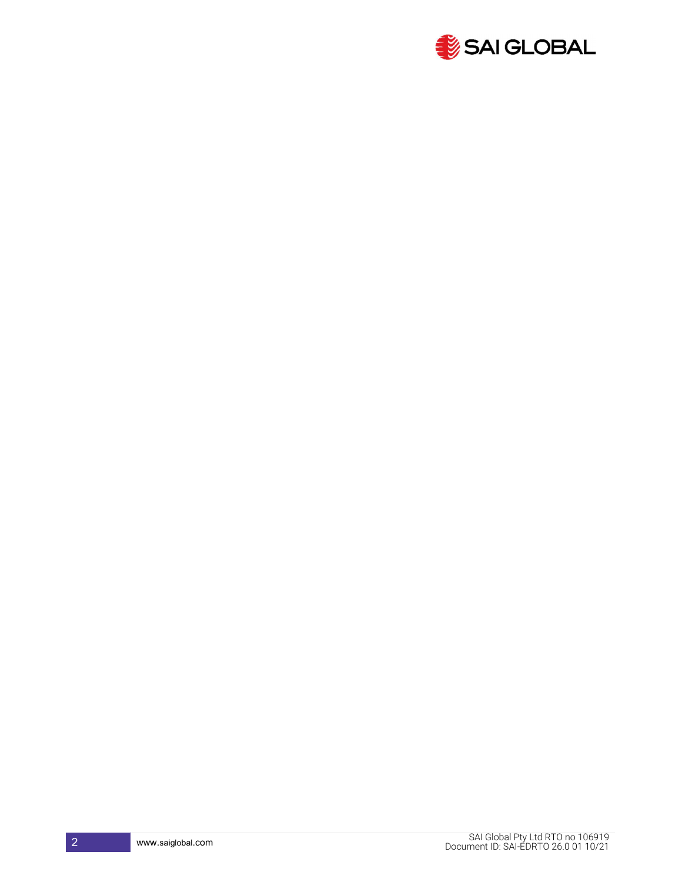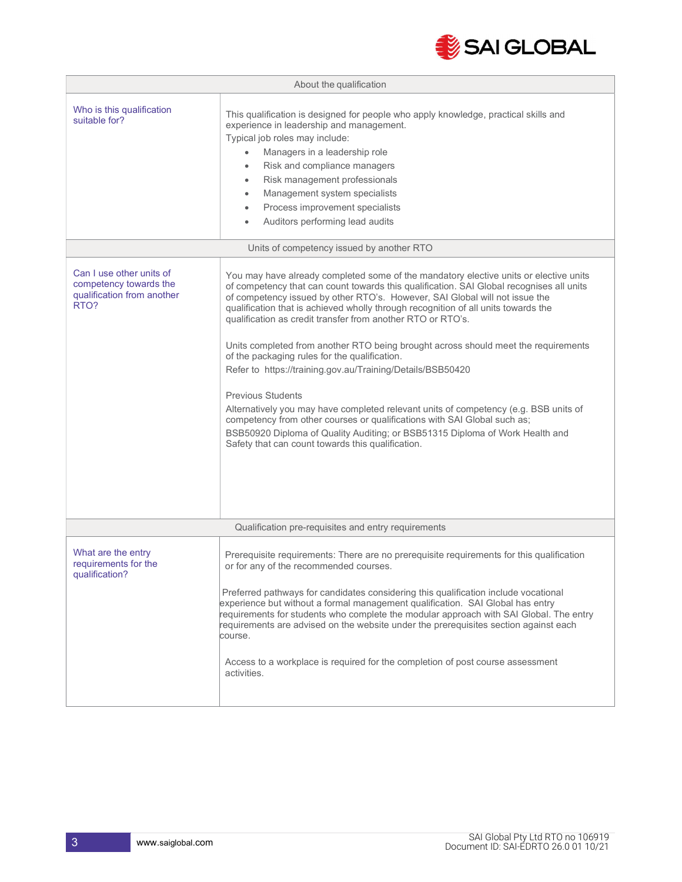

|                                                                                          | About the qualification                                                                                                                                                                                                                                                                                                                                                                                                                                                                                                                                                                                                                                                                                                                                                                                                                                                                                                                                         |
|------------------------------------------------------------------------------------------|-----------------------------------------------------------------------------------------------------------------------------------------------------------------------------------------------------------------------------------------------------------------------------------------------------------------------------------------------------------------------------------------------------------------------------------------------------------------------------------------------------------------------------------------------------------------------------------------------------------------------------------------------------------------------------------------------------------------------------------------------------------------------------------------------------------------------------------------------------------------------------------------------------------------------------------------------------------------|
| Who is this qualification<br>suitable for?                                               | This qualification is designed for people who apply knowledge, practical skills and<br>experience in leadership and management.<br>Typical job roles may include:<br>Managers in a leadership role<br>$\bullet$<br>Risk and compliance managers<br>$\bullet$<br>Risk management professionals<br>$\bullet$<br>Management system specialists<br>$\bullet$<br>Process improvement specialists<br>Auditors performing lead audits                                                                                                                                                                                                                                                                                                                                                                                                                                                                                                                                  |
|                                                                                          | Units of competency issued by another RTO                                                                                                                                                                                                                                                                                                                                                                                                                                                                                                                                                                                                                                                                                                                                                                                                                                                                                                                       |
| Can I use other units of<br>competency towards the<br>qualification from another<br>RTO? | You may have already completed some of the mandatory elective units or elective units<br>of competency that can count towards this qualification. SAI Global recognises all units<br>of competency issued by other RTO's. However, SAI Global will not issue the<br>qualification that is achieved wholly through recognition of all units towards the<br>qualification as credit transfer from another RTO or RTO's.<br>Units completed from another RTO being brought across should meet the requirements<br>of the packaging rules for the qualification.<br>Refer to https://training.gov.au/Training/Details/BSB50420<br><b>Previous Students</b><br>Alternatively you may have completed relevant units of competency (e.g. BSB units of<br>competency from other courses or qualifications with SAI Global such as;<br>BSB50920 Diploma of Quality Auditing; or BSB51315 Diploma of Work Health and<br>Safety that can count towards this qualification. |
|                                                                                          | Qualification pre-requisites and entry requirements                                                                                                                                                                                                                                                                                                                                                                                                                                                                                                                                                                                                                                                                                                                                                                                                                                                                                                             |
| What are the entry<br>requirements for the<br>qualification?                             | Prerequisite requirements: There are no prerequisite requirements for this qualification<br>or for any of the recommended courses.<br>Preferred pathways for candidates considering this qualification include vocational<br>experience but without a formal management qualification. SAI Global has entry<br>requirements for students who complete the modular approach with SAI Global. The entry<br>requirements are advised on the website under the prerequisites section against each<br>course.<br>Access to a workplace is required for the completion of post course assessment<br>activities.                                                                                                                                                                                                                                                                                                                                                       |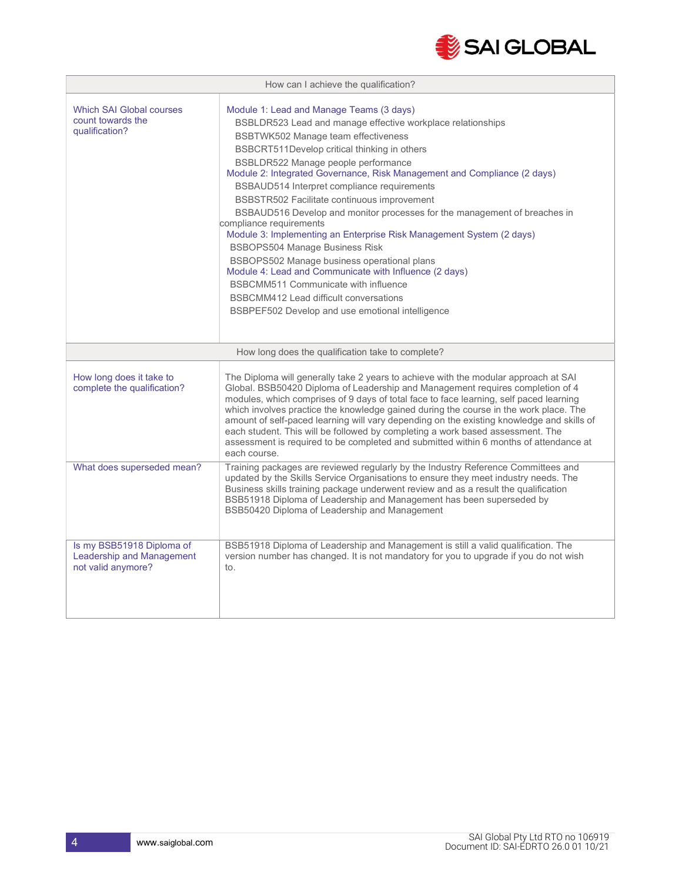

| How can I achieve the qualification?                                         |                                                                                                                                                                                                                                                                                                                                                                                                                                                                                                                                                                                                                                                                                                                                                                                                                                                                                         |
|------------------------------------------------------------------------------|-----------------------------------------------------------------------------------------------------------------------------------------------------------------------------------------------------------------------------------------------------------------------------------------------------------------------------------------------------------------------------------------------------------------------------------------------------------------------------------------------------------------------------------------------------------------------------------------------------------------------------------------------------------------------------------------------------------------------------------------------------------------------------------------------------------------------------------------------------------------------------------------|
| <b>Which SAI Global courses</b><br>count towards the<br>qualification?       | Module 1: Lead and Manage Teams (3 days)<br>BSBLDR523 Lead and manage effective workplace relationships<br>BSBTWK502 Manage team effectiveness<br>BSBCRT511Develop critical thinking in others<br>BSBLDR522 Manage people performance<br>Module 2: Integrated Governance, Risk Management and Compliance (2 days)<br>BSBAUD514 Interpret compliance requirements<br>BSBSTR502 Facilitate continuous improvement<br>BSBAUD516 Develop and monitor processes for the management of breaches in<br>compliance requirements<br>Module 3: Implementing an Enterprise Risk Management System (2 days)<br><b>BSBOPS504 Manage Business Risk</b><br>BSBOPS502 Manage business operational plans<br>Module 4: Lead and Communicate with Influence (2 days)<br>BSBCMM511 Communicate with influence<br>BSBCMM412 Lead difficult conversations<br>BSBPEF502 Develop and use emotional intelligence |
|                                                                              | How long does the qualification take to complete?                                                                                                                                                                                                                                                                                                                                                                                                                                                                                                                                                                                                                                                                                                                                                                                                                                       |
| How long does it take to<br>complete the qualification?                      | The Diploma will generally take 2 years to achieve with the modular approach at SAI<br>Global. BSB50420 Diploma of Leadership and Management requires completion of 4<br>modules, which comprises of 9 days of total face to face learning, self paced learning<br>which involves practice the knowledge gained during the course in the work place. The<br>amount of self-paced learning will vary depending on the existing knowledge and skills of<br>each student. This will be followed by completing a work based assessment. The<br>assessment is required to be completed and submitted within 6 months of attendance at<br>each course.                                                                                                                                                                                                                                        |
| What does superseded mean?                                                   | Training packages are reviewed regularly by the Industry Reference Committees and<br>updated by the Skills Service Organisations to ensure they meet industry needs. The<br>Business skills training package underwent review and as a result the qualification<br>BSB51918 Diploma of Leadership and Management has been superseded by<br>BSB50420 Diploma of Leadership and Management                                                                                                                                                                                                                                                                                                                                                                                                                                                                                                |
| Is my BSB51918 Diploma of<br>Leadership and Management<br>not valid anymore? | BSB51918 Diploma of Leadership and Management is still a valid qualification. The<br>version number has changed. It is not mandatory for you to upgrade if you do not wish<br>to.                                                                                                                                                                                                                                                                                                                                                                                                                                                                                                                                                                                                                                                                                                       |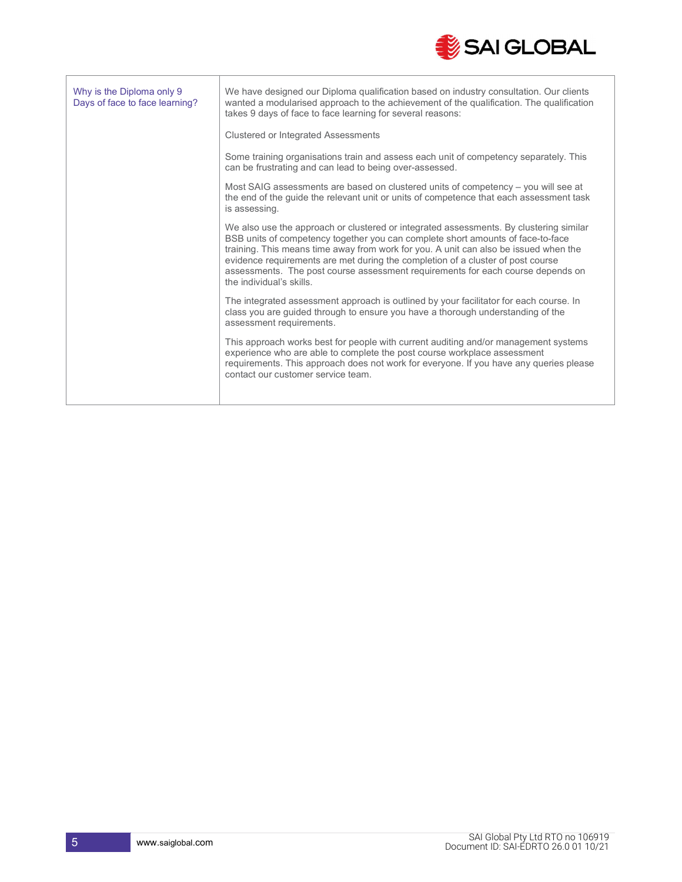

| Why is the Diploma only 9<br>Days of face to face learning? | We have designed our Diploma qualification based on industry consultation. Our clients<br>wanted a modularised approach to the achievement of the qualification. The qualification<br>takes 9 days of face to face learning for several reasons:                                                                                                                                                                                                                    |
|-------------------------------------------------------------|---------------------------------------------------------------------------------------------------------------------------------------------------------------------------------------------------------------------------------------------------------------------------------------------------------------------------------------------------------------------------------------------------------------------------------------------------------------------|
|                                                             | Clustered or Integrated Assessments                                                                                                                                                                                                                                                                                                                                                                                                                                 |
|                                                             | Some training organisations train and assess each unit of competency separately. This<br>can be frustrating and can lead to being over-assessed.                                                                                                                                                                                                                                                                                                                    |
|                                                             | Most SAIG assessments are based on clustered units of competency - you will see at<br>the end of the guide the relevant unit or units of competence that each assessment task<br>is assessing.                                                                                                                                                                                                                                                                      |
|                                                             | We also use the approach or clustered or integrated assessments. By clustering similar<br>BSB units of competency together you can complete short amounts of face-to-face<br>training. This means time away from work for you. A unit can also be issued when the<br>evidence requirements are met during the completion of a cluster of post course<br>assessments. The post course assessment requirements for each course depends on<br>the individual's skills. |
|                                                             | The integrated assessment approach is outlined by your facilitator for each course. In<br>class you are guided through to ensure you have a thorough understanding of the<br>assessment requirements.                                                                                                                                                                                                                                                               |
|                                                             | This approach works best for people with current auditing and/or management systems<br>experience who are able to complete the post course workplace assessment<br>requirements. This approach does not work for everyone. If you have any queries please<br>contact our customer service team.                                                                                                                                                                     |
|                                                             |                                                                                                                                                                                                                                                                                                                                                                                                                                                                     |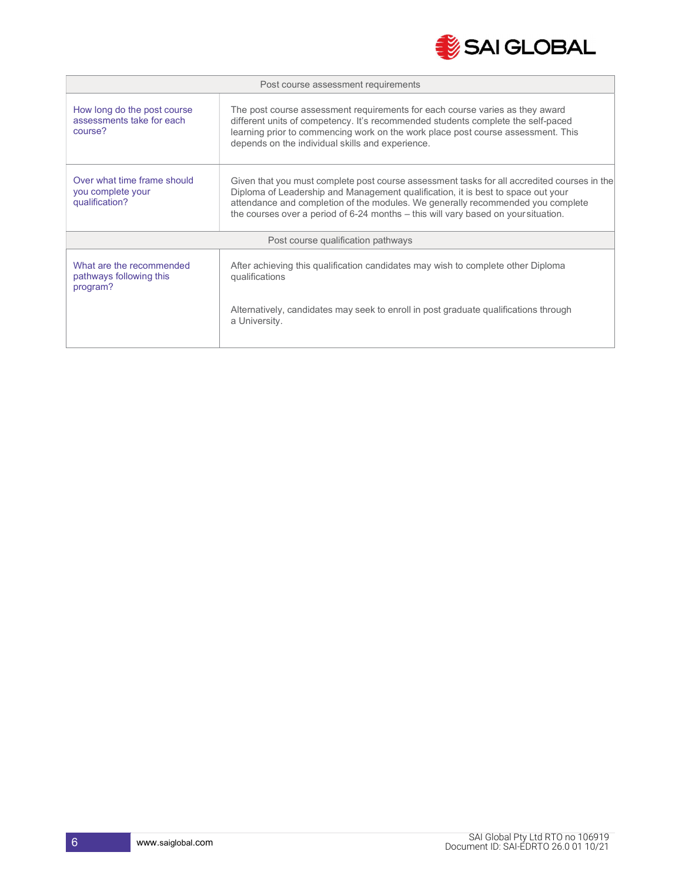

| Post course assessment requirements                                 |                                                                                                                                                                                                                                                                                                                                                          |
|---------------------------------------------------------------------|----------------------------------------------------------------------------------------------------------------------------------------------------------------------------------------------------------------------------------------------------------------------------------------------------------------------------------------------------------|
| How long do the post course<br>assessments take for each<br>course? | The post course assessment requirements for each course varies as they award<br>different units of competency. It's recommended students complete the self-paced<br>learning prior to commencing work on the work place post course assessment. This<br>depends on the individual skills and experience.                                                 |
| Over what time frame should<br>you complete your<br>qualification?  | Given that you must complete post course assessment tasks for all accredited courses in the<br>Diploma of Leadership and Management qualification, it is best to space out your<br>attendance and completion of the modules. We generally recommended you complete<br>the courses over a period of 6-24 months - this will vary based on your situation. |
| Post course qualification pathways                                  |                                                                                                                                                                                                                                                                                                                                                          |
| What are the recommended<br>pathways following this<br>program?     | After achieving this qualification candidates may wish to complete other Diploma<br>qualifications                                                                                                                                                                                                                                                       |
|                                                                     | Alternatively, candidates may seek to enroll in post graduate qualifications through<br>a University.                                                                                                                                                                                                                                                    |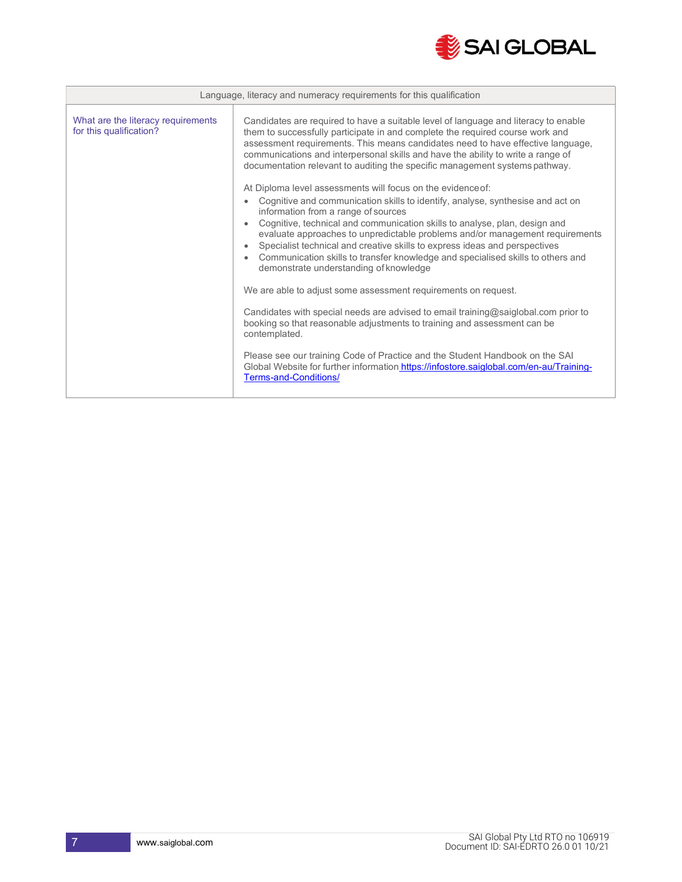

| Language, literacy and numeracy requirements for this qualification |                                                                                                                                                                                                                                                                                                                                                                                                                                                                                                                                                                                                                                                                                                                                                                                                                                                                                                                                                                                                                                                                                                                                                                                                                                                                                                                                                                                                                                                                                            |
|---------------------------------------------------------------------|--------------------------------------------------------------------------------------------------------------------------------------------------------------------------------------------------------------------------------------------------------------------------------------------------------------------------------------------------------------------------------------------------------------------------------------------------------------------------------------------------------------------------------------------------------------------------------------------------------------------------------------------------------------------------------------------------------------------------------------------------------------------------------------------------------------------------------------------------------------------------------------------------------------------------------------------------------------------------------------------------------------------------------------------------------------------------------------------------------------------------------------------------------------------------------------------------------------------------------------------------------------------------------------------------------------------------------------------------------------------------------------------------------------------------------------------------------------------------------------------|
| What are the literacy requirements<br>for this qualification?       | Candidates are required to have a suitable level of language and literacy to enable<br>them to successfully participate in and complete the required course work and<br>assessment requirements. This means candidates need to have effective language,<br>communications and interpersonal skills and have the ability to write a range of<br>documentation relevant to auditing the specific management systems pathway.<br>At Diploma level assessments will focus on the evidence of:<br>Cognitive and communication skills to identify, analyse, synthesise and act on<br>information from a range of sources<br>Cognitive, technical and communication skills to analyse, plan, design and<br>$\bullet$<br>evaluate approaches to unpredictable problems and/or management requirements<br>Specialist technical and creative skills to express ideas and perspectives<br>$\bullet$<br>Communication skills to transfer knowledge and specialised skills to others and<br>$\bullet$<br>demonstrate understanding of knowledge<br>We are able to adjust some assessment requirements on request.<br>Candidates with special needs are advised to email training@saiglobal.com prior to<br>booking so that reasonable adjustments to training and assessment can be<br>contemplated.<br>Please see our training Code of Practice and the Student Handbook on the SAI<br>Global Website for further information https://infostore.saiglobal.com/en-au/Training-<br>Terms-and-Conditions/ |
|                                                                     |                                                                                                                                                                                                                                                                                                                                                                                                                                                                                                                                                                                                                                                                                                                                                                                                                                                                                                                                                                                                                                                                                                                                                                                                                                                                                                                                                                                                                                                                                            |